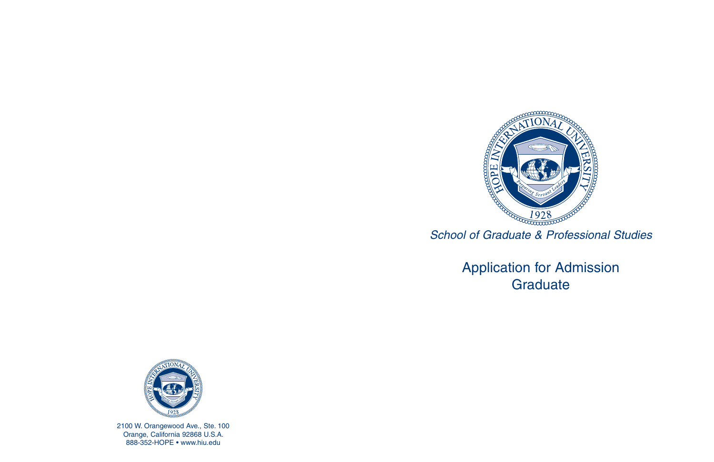

## Application for Admission **Graduate**



2100 W. Orangewood Ave., Ste. 100 Orange, California 92868 U.S.A. 888-352-HOPE • www.hiu.edu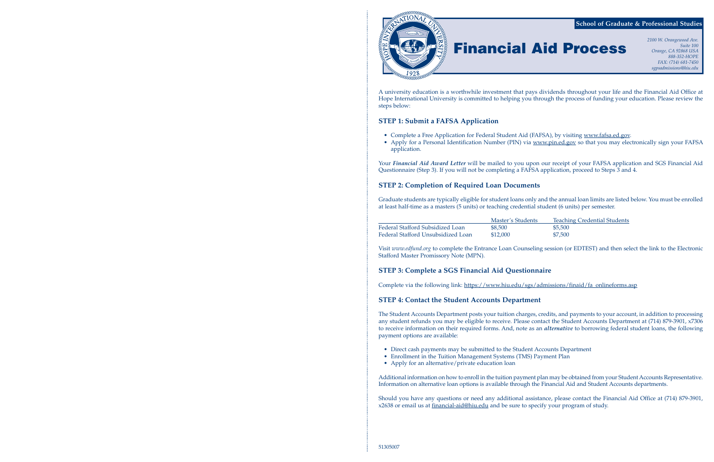

A university education is a worthwhile investment that pays dividends throughout your life and the Financial Aid Office at Hope International University is committed to helping you through the process of funding your education. Please review the steps below:

- Complete a Free Application for Federal Student Aid (FAFSA), by visiting www.fafsa.ed.gov.
- application.

### **STEP 1: Submit a FAFSA Application**

• Apply for a Personal Identification Number (PIN) via www.pin.ed.gov so that you may electronically sign your FAFSA

dents Teaching Credential Students

Your *Financial Aid Award Letter* will be mailed to you upon our receipt of your FAFSA application and SGS Financial Aid Questionnaire (Step 3). If you will not be completing a FAFSA application, proceed to Steps 3 and 4.

### **STEP 2: Completion of Required Loan Documents**

Graduate students are typically eligible for student loans only and the annual loan limits are listed below. You must be enrolled at least half-time as a masters (5 units) or teaching credential student (6 units) per semester.

|                                    | Master's Students | Teachi  |
|------------------------------------|-------------------|---------|
| Federal Stafford Subsidized Loan   | \$8,500           | \$5,500 |
| Federal Stafford Unsubsidized Loan | \$12,000          | \$7,500 |

Visit *www.edfund.org* to complete the Entrance Loan Counseling session (or EDTEST) and then select the link to the Electronic Stafford Master Promissory Note (MPN).

### **STEP 3: Complete a SGS Financial Aid Questionnaire**

Complete via the following link: https://www.hiu.edu/sgs/admissions/finaid/fa\_onlineforms.asp

### **STEP 4: Contact the Student Accounts Department**

The Student Accounts Department posts your tuition charges, credits, and payments to your account, in addition to processing any student refunds you may be eligible to receive. Please contact the Student Accounts Department at (714) 879-3901, x7306 to receive information on their required forms. And, note as an *alternative* to borrowing federal student loans, the following payment options are available:

- Direct cash payments may be submitted to the Student Accounts Department
- Enrollment in the Tuition Management Systems (TMS) Payment Plan
- Apply for an alternative/private education loan

Additional information on how to enroll in the tuition payment plan may be obtained from your Student Accounts Representative. Information on alternative loan options is available through the Financial Aid and Student Accounts departments.

Should you have any questions or need any additional assistance, please contact the Financial Aid Office at (714) 879-3901, x2638 or email us at financial-aid@hiu.edu and be sure to specify your program of study.

# **Financial Aid Process**

*Suite 100 Orange, CA 92868 USA 888-352-HOPE FAX: (714) 681-7450 sgpsadmissions@hiu.edu*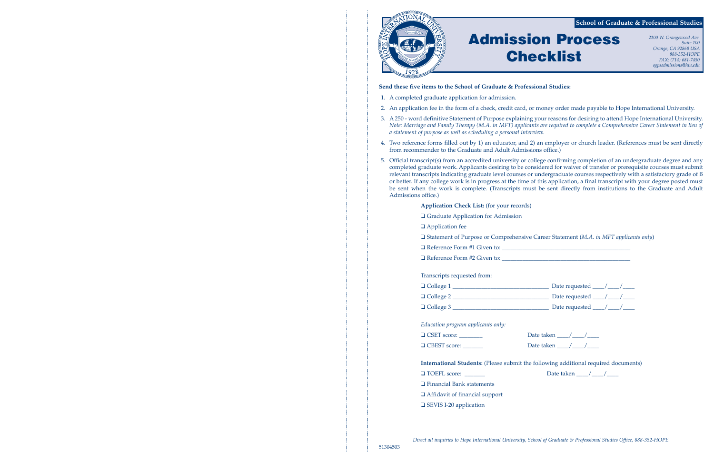### **Send these five items to the School of Graduate & Professional Studies:**

2. An application fee in the form of a check, credit card, or money order made payable to Hope International University.

 3. A 250 - word definitive Statement of Purpose explaining your reasons for desiring to attend Hope International University. *Note: Marriage and Family Therapy (M.A. in MFT) applicants are required to complete a Comprehensive Career Statement in lieu of*

4. Two reference forms filled out by 1) an educator, and 2) an employer or church leader. (References must be sent directly

- 1. A completed graduate application for admission.
- 
- *a statement of purpose as well as scheduling a personal interview.*
- from recommender to the Graduate and Adult Admissions office.)
- Admissions office.)

**International Students:** (Please submit the following additional required documents)  $\Box$  TOEFL score:  $\Box$  Date taken  $\Box$ 

 5. Official transcript(s) from an accredited university or college confirming completion of an undergraduate degree and any completed graduate work. Applicants desiring to be considered for waiver of transfer or prerequisite courses must submit relevant transcripts indicating graduate level courses or undergraduate courses respectively with a satisfactory grade of B or better. If any college work is in progress at the time of this application, a final transcript with your degree posted must be sent when the work is complete. (Transcripts must be sent directly from institutions to the Graduate and Adult

**Application Check List:** (for your records)

sive Career Statement (M.A. in MFT applicants only)

 $\_$  Date requested  $\_$  / $\_$  / $\_$ Date requested  $\frac{\gamma}{\gamma}$  $\Box$  Date requested  $\Box$ 

| □ Graduate Application for Admission                                         |  |  |
|------------------------------------------------------------------------------|--|--|
| $\Box$ Application fee                                                       |  |  |
| □ Statement of Purpose or Comprehensive Career Statement (M.A. in MFT applic |  |  |
|                                                                              |  |  |
|                                                                              |  |  |
|                                                                              |  |  |
| Transcripts requested from:                                                  |  |  |
|                                                                              |  |  |
|                                                                              |  |  |
|                                                                              |  |  |
|                                                                              |  |  |
| Education program applicants only:                                           |  |  |

❑ CSET score: \_\_\_\_\_\_\_\_ Date taken \_\_\_\_/\_\_\_\_/\_\_\_\_ ❑ CBEST score: \_\_\_\_\_\_\_ Date taken \_\_\_\_/\_\_\_\_/\_\_\_\_

❑ Financial Bank statements

❑ Affidavit of financial support

❑ SEVIS I-20 application



# **Admission Process Checklist**

*2100 W. Orangewood Ave. Suite 100 Orange, CA 92868 USA 888-352-HOPE FAX: (714) 681-7450 sgpsadmissions@hiu.edu*

### **School of Graduate & Professional Studies**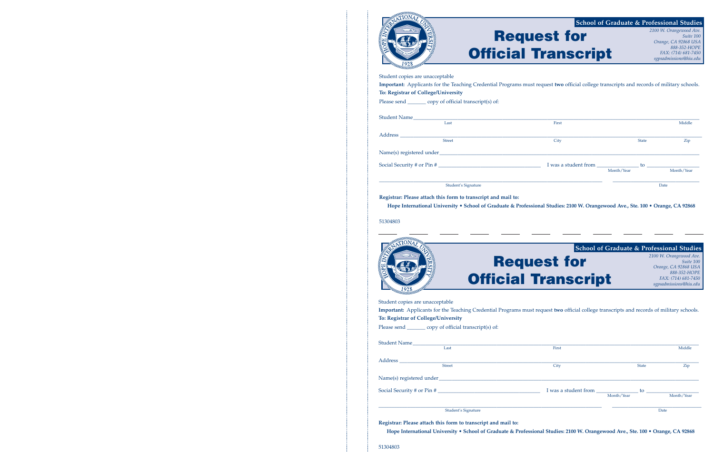



| Student copies are unacceptable                           |                                                                                                                                           |              |            |
|-----------------------------------------------------------|-------------------------------------------------------------------------------------------------------------------------------------------|--------------|------------|
|                                                           | Important: Applicants for the Teaching Credential Programs must request two official college transcripts and records of military schools. |              |            |
| To: Registrar of College/University                       |                                                                                                                                           |              |            |
| Please send __________ copy of official transcript(s) of: |                                                                                                                                           |              |            |
|                                                           |                                                                                                                                           |              |            |
| Student Name                                              |                                                                                                                                           |              |            |
| Last                                                      | First                                                                                                                                     |              | Middle     |
|                                                           |                                                                                                                                           |              |            |
| <b>Street</b>                                             | City                                                                                                                                      | <b>State</b> | Zip        |
|                                                           |                                                                                                                                           |              |            |
| Social Security # or Pin #                                |                                                                                                                                           |              |            |
|                                                           |                                                                                                                                           | Month/Year   | Month/Year |
|                                                           | Student's Signature                                                                                                                       |              | Date       |

|                                 |                                                          |                                                                                                                                           |              | sgpsaamissionswniu.eau |
|---------------------------------|----------------------------------------------------------|-------------------------------------------------------------------------------------------------------------------------------------------|--------------|------------------------|
| Student copies are unacceptable | To: Registrar of College/University                      | Important: Applicants for the Teaching Credential Programs must request two official college transcripts and records of military schools. |              |                        |
|                                 | Please send _________ copy of official transcript(s) of: |                                                                                                                                           |              |                        |
|                                 | Student Name<br>Last                                     | First                                                                                                                                     |              | Middle                 |
|                                 |                                                          |                                                                                                                                           |              |                        |
|                                 | <b>Street</b>                                            | City                                                                                                                                      | <b>State</b> | Zip                    |
|                                 |                                                          |                                                                                                                                           |              |                        |
|                                 |                                                          |                                                                                                                                           |              |                        |
|                                 |                                                          | Month/Year                                                                                                                                |              | Month/Year             |
|                                 | Student's Signature                                      |                                                                                                                                           |              | Date                   |
|                                 |                                                          |                                                                                                                                           |              |                        |

**Registrar: Please attach this form to transcript and mail to: Hope International University • School of Graduate & Professional Studies: 2100 W. Orangewood Ave., Ste. 100 • Orange, CA 92868**

51304803

### **Request for Official Transcript** *2100 W. Orangewood Ave. Suite 100 Orange, CA 92868 USA 888-352-HOPE FAX: (714) 681-7450 sgpsadmissions@hiu.edu* **School of Graduate & Professional Studies**

**Registrar: Please attach this form to transcript and mail to: Hope International University • School of Graduate & Professional Studies: 2100 W. Orangewood Ave., Ste. 100 • Orange, CA 92868**



| <b>School of Graduate &amp; Professional Studies</b> |                                                                              |
|------------------------------------------------------|------------------------------------------------------------------------------|
| uest for                                             | 2100 W. Orangewood Ave.<br>Suite 100<br>Orange, CA 92868 USA<br>888-352-HOPE |
| <b>Transcript</b>                                    | FAX: (714) 681-7450<br>sgpsadmissions@hiu.edu                                |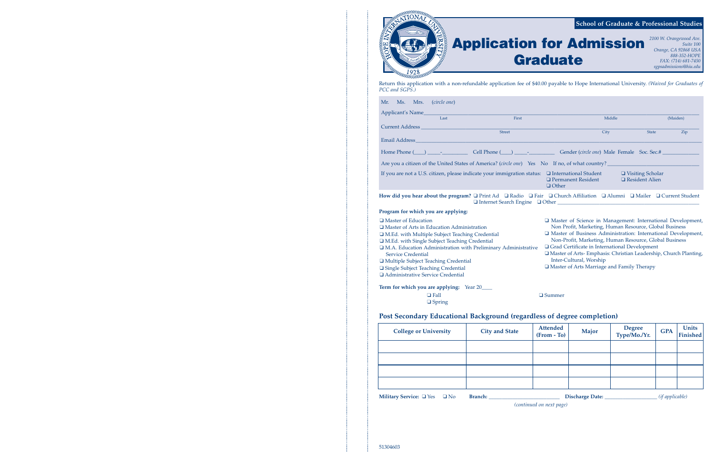

Return this application with a non-refundable application fee of \$40.00 payable to Hope International University. *(Waived for Graduates of PCC and SGPS.)*

| Applicant's Name                                                                                               |      |                                                                                                                                                                                                         |                                           |        |                                             |          |
|----------------------------------------------------------------------------------------------------------------|------|---------------------------------------------------------------------------------------------------------------------------------------------------------------------------------------------------------|-------------------------------------------|--------|---------------------------------------------|----------|
|                                                                                                                | Last | First                                                                                                                                                                                                   |                                           | Middle |                                             | (Maiden) |
| <b>Current Address</b>                                                                                         |      |                                                                                                                                                                                                         |                                           |        |                                             |          |
|                                                                                                                |      | <b>Street</b>                                                                                                                                                                                           | City                                      |        | <b>State</b>                                | Zip      |
| Email Address and the control of the control of the control of the control of the control of the control of th |      |                                                                                                                                                                                                         |                                           |        |                                             |          |
|                                                                                                                |      | Home Phone (except) and Cell Phone (except) and Cell Phone Control of Center (circle one) Male Female Soc. Sec.#                                                                                        |                                           |        |                                             |          |
|                                                                                                                |      | Are you a citizen of the United States of America? (circle one) Yes No If no, of what country?                                                                                                          |                                           |        |                                             |          |
|                                                                                                                |      | If you are not a U.S. citizen, please indicate your immigration status: $\Box$ International Student                                                                                                    | $\Box$ Permanent Resident<br>$\Box$ Other |        | □ Visiting Scholar<br>$\Box$ Resident Alien |          |
|                                                                                                                |      | How did you hear about the program? $\Box$ Print Ad $\Box$ Radio $\Box$ Fair $\Box$ Church Affiliation $\Box$ Alumni $\Box$ Mailer $\Box$ Current Student<br>$\Box$ Internet Search Engine $\Box$ Other |                                           |        |                                             |          |
|                                                                                                                |      |                                                                                                                                                                                                         |                                           |        |                                             |          |

| Mr. Ms. Mrs. (circle one)                                                             |
|---------------------------------------------------------------------------------------|
| Applicant's Name<br>Last                                                              |
| Firs                                                                                  |
| Current Address                                                                       |
| Street                                                                                |
|                                                                                       |
|                                                                                       |
| Are you a citizen of the United States of America? (circle on                         |
| If you are not a U.S. citizen, please indicate your immigration                       |
|                                                                                       |
|                                                                                       |
| How did you hear about the program? $\Box$ Print Ad $\Box$ Rad<br>□ Internet Search E |
| Program for which you are applying:                                                   |
| □ Master of Education                                                                 |
| $\Box$ Master of Arts in Education Administration                                     |
| I M.Ed. with Multiple Subject Teaching Credential                                     |
| I M.Ed. with Single Subject Teaching Credential                                       |
| <sup>1</sup> M.A. Education Administration with Preliminary Admin                     |
| <b>Service Credential</b>                                                             |
| □ Multiple Subject Teaching Credential                                                |
| □ Single Subject Teaching Credential                                                  |
| Administrative Service Credential                                                     |

**Term for which you are applying:** Year 20\_\_\_\_

❑ Fall ❑ Summer

❑ Spring

### **Post Secondary Educational Background (regardless of degree completion)**

**Military Service:** ❑ Yes ❑ No **Branch:** \_\_\_\_\_\_\_\_\_\_\_\_\_\_\_\_\_\_\_\_\_\_\_\_\_\_\_ **Discharge Date:** \_\_\_\_\_\_\_\_\_\_\_\_\_\_\_\_\_\_\_\_ *(if applicable)*

*(continued on next page)*

| <b>College or University</b> | <b>City and State</b> | Attended<br>(From - To) | Major | Degree<br>Type/Mo./Yr. | <b>GPA</b> | Units<br>Finished |
|------------------------------|-----------------------|-------------------------|-------|------------------------|------------|-------------------|
|                              |                       |                         |       |                        |            |                   |
|                              |                       |                         |       |                        |            |                   |
|                              |                       |                         |       |                        |            |                   |
|                              |                       |                         |       |                        |            |                   |

## **Application for Admission Graduate**

*2100 W. Orangewood Ave. Suite 100 Orange, CA 92868 USA 888-352-HOPE FAX: (714) 681-7450 sgpsadmissions@hiu.edu*

- ❑ Master of Science in Management: International Development, Non Profit, Marketing, Human Resource, Global Business
- ❑ Master of Business Administration: International Development, Non-Profit, Marketing, Human Resource, Global Business ❑ Grad Certificate in International Development
- ustrative
	- ❑ Master of Arts- Emphasis: Christian Leadership, Church Planting, Inter-Cultural, Worship
	- ❑ Master of Arts Marriage and Family Therapy

### **School of Graduate & Professional Studies**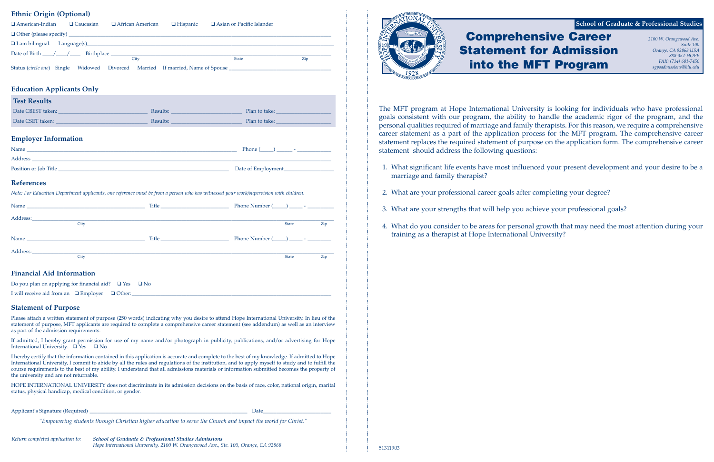### **Ethnic Origin (Optional)**

| $\Box$ Caucasian<br>$\Box$ American-Indian                                                                                                                                                                                             | $\Box$ African American $\Box$ Hispanic | □ Asian or Pacific Islander |                     |
|----------------------------------------------------------------------------------------------------------------------------------------------------------------------------------------------------------------------------------------|-----------------------------------------|-----------------------------|---------------------|
|                                                                                                                                                                                                                                        |                                         |                             |                     |
|                                                                                                                                                                                                                                        |                                         |                             |                     |
|                                                                                                                                                                                                                                        |                                         |                             |                     |
|                                                                                                                                                                                                                                        | City                                    | State                       | Zip                 |
| Status (circle one) Single Widowed Divorced Married If married, Name of Spouse _______________________________                                                                                                                         |                                         |                             |                     |
|                                                                                                                                                                                                                                        |                                         |                             |                     |
| <b>Education Applicants Only</b>                                                                                                                                                                                                       |                                         |                             |                     |
| <b>Test Results</b>                                                                                                                                                                                                                    |                                         |                             |                     |
| Date CBEST taken: No. 2008. [2018] Results: Nessults: Nessults: 2018. [2018] Plan to take: 2018. [2018] Plan to take: 2018. [2018] Plan to take: 2018. [2018] Plan to take: 2018. [2018] Plan to take: 2018. [2018] Plan to ta         |                                         |                             |                     |
|                                                                                                                                                                                                                                        |                                         |                             |                     |
|                                                                                                                                                                                                                                        |                                         |                             |                     |
| <b>Employer Information</b>                                                                                                                                                                                                            |                                         |                             |                     |
|                                                                                                                                                                                                                                        |                                         |                             |                     |
|                                                                                                                                                                                                                                        |                                         |                             |                     |
| Position or Job Title <b>Example 2018</b> The Contract of Example 2018 of Example 2018 The Contract of Example 2018 The Contract of The Contract of The Contract of The Contract of The Contract of The Contract of The Contract of    |                                         |                             |                     |
| <b>References</b>                                                                                                                                                                                                                      |                                         |                             |                     |
|                                                                                                                                                                                                                                        |                                         |                             |                     |
| Note: For Education Department applicants, one reference must be from a person who has witnessed your work/supervision with children.                                                                                                  |                                         |                             |                     |
|                                                                                                                                                                                                                                        |                                         |                             |                     |
| Address: the contract of the contract of the contract of the contract of the contract of the contract of the contract of the contract of the contract of the contract of the contract of the contract of the contract of the c         |                                         |                             |                     |
| City                                                                                                                                                                                                                                   |                                         |                             | <b>State</b><br>Zip |
|                                                                                                                                                                                                                                        |                                         |                             |                     |
|                                                                                                                                                                                                                                        |                                         |                             |                     |
| Address: Address: Address: Address: Address: Address: Address: Address: Address: Address: Address: Address: Address: Address: Address: Address: Address: Address: Address: Address: Address: Address: Address: Address: Addres<br>City |                                         |                             | <b>State</b><br>Zip |
|                                                                                                                                                                                                                                        |                                         |                             |                     |
| <b>Financial Aid Information</b>                                                                                                                                                                                                       |                                         |                             |                     |
| $\mathbf{a}$ and $\mathbf{a}$ and $\mathbf{a}$ and $\mathbf{a}$ and $\mathbf{a}$ and $\mathbf{a}$ and $\mathbf{a}$                                                                                                                     |                                         |                             |                     |

### Do you plan on applying for financial aid? ❑ Yes ❑ No

I will receive aid from an  $\Box$  Employer  $\Box$  Other:

### **Statement of Purpose**

Please attach a written statement of purpose (250 words) indicating why you desire to attend Hope International University. In lieu of the statement of purpose, MFT applicants are required to complete a comprehensive career statement (see addendum) as well as an interview as part of the admission requirements.

If admitted, I hereby grant permission for use of my name and/or photograph in publicity, publications, and/or advertising for Hope International University. ❑ Yes ❑ No

I hereby certify that the information contained in this application is accurate and complete to the best of my knowledge. If admitted to Hope International University, I commit to abide by all the rules and regulations of the institution, and to apply myself to study and to fulfill the course requirements to the best of my ability. I understand that all admissions materials or information submitted becomes the property of the university and are not returnable.

HOPE INTERNATIONAL UNIVERSITY does not discriminate in its admission decisions on the basis of race, color, national origin, marital status, physical handicap, medical condition, or gender.

Applicant's Signature (Required) \_\_\_\_\_\_\_\_\_\_\_\_\_\_\_\_\_\_\_\_\_\_\_\_\_\_\_\_\_\_\_\_\_\_\_\_\_\_\_\_\_\_\_\_\_\_\_\_\_\_\_\_\_\_\_\_\_\_\_\_ Date \_\_\_\_\_\_\_\_\_\_\_\_\_\_\_\_\_\_\_\_\_\_\_\_\_\_

*"Empowering students through Christian higher education to serve the Church and impact the world for Christ."*



The MFT program at Hope International University is looking for individuals who have professional goals consistent with our program, the ability to handle the academic rigor of the program, and the personal qualities required of marriage and family therapists. For this reason, we require a comprehensive career statement as a part of the application process for the MFT program. The comprehensive career statement replaces the required statement of purpose on the application form. The comprehensive career statement should address the following questions:

1. What significant life events have most influenced your present development and your desire to be a

- marriage and family therapist?
- 2. What are your professional career goals after completing your degree?
- 3. What are your strengths that will help you achieve your professional goals?
- training as a therapist at Hope International University?

4. What do you consider to be areas for personal growth that may need the most attention during your

### **Comprehensive Career Statement for Admission into the MFT Program** *2100 W. Orangewood Ave. Suite 100 Orange, CA 92868 USA 888-352-HOPE FAX: (714) 681-7450 sgpsadmissions@hiu.edu* **School of Graduate & Professional Studies**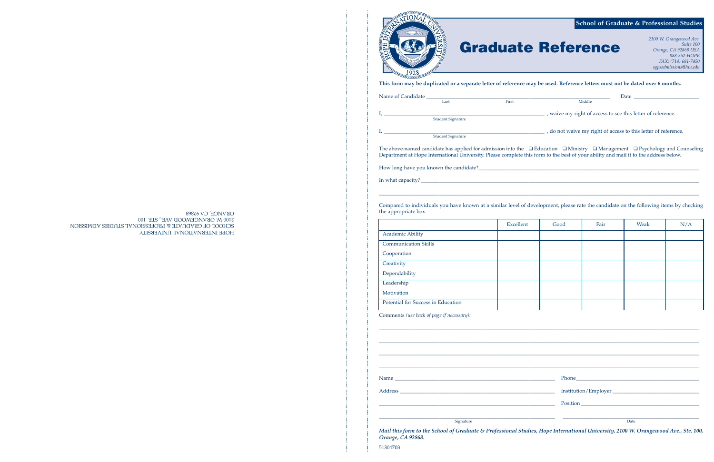|                                     | <b>School of Graduate &amp; Professional Studie</b><br>2100 W. Orangewood Ave.<br><b>Graduate Reference</b><br>Suite 100<br>Orange, CA 92868 USA<br>888-352-HOPE<br>FAX: (714) 681-7450<br>sgpsadmissions@hiu.edu                                                                       |
|-------------------------------------|-----------------------------------------------------------------------------------------------------------------------------------------------------------------------------------------------------------------------------------------------------------------------------------------|
| tamat                               | This form may be duplicated or a separate letter of reference may be used. Reference letters must not be dated over 6 months.                                                                                                                                                           |
|                                     |                                                                                                                                                                                                                                                                                         |
| Name of Candidate Last Eirst Middle |                                                                                                                                                                                                                                                                                         |
|                                     |                                                                                                                                                                                                                                                                                         |
| Student Signature                   |                                                                                                                                                                                                                                                                                         |
|                                     | The above-named candidate has applied for admission into the $\Box$ Education $\Box$ Ministry $\Box$ Management $\Box$ Psychology and Counselir<br>Department at Hope International University. Please complete this form to the best of your ability and mail it to the address below. |
|                                     |                                                                                                                                                                                                                                                                                         |
| In what capacity?                   |                                                                                                                                                                                                                                                                                         |

\_\_\_\_\_\_\_\_\_\_\_\_\_\_\_\_\_\_\_\_\_\_\_\_\_\_\_\_\_\_\_\_\_\_\_\_\_\_\_\_\_\_\_\_\_\_\_\_\_\_\_\_\_\_\_\_\_\_\_\_\_\_\_\_\_\_\_\_\_\_\_\_\_\_\_\_\_\_\_\_\_\_\_\_\_\_\_\_\_\_\_\_\_\_\_\_\_\_\_\_\_\_\_\_\_\_\_\_\_\_\_\_\_\_\_\_\_\_\_\_\_\_

Compared to individuals you have known at a similar level of development, please rate the candidate on the following items by checking the appropriate box.

|                                    | Excellent | Good | Fair | Weak | N/A |
|------------------------------------|-----------|------|------|------|-----|
| <b>Academic Ability</b>            |           |      |      |      |     |
| <b>Communication Skills</b>        |           |      |      |      |     |
| Cooperation                        |           |      |      |      |     |
| Creativity                         |           |      |      |      |     |
| Dependability                      |           |      |      |      |     |
| Leadership                         |           |      |      |      |     |
| Motivation                         |           |      |      |      |     |
| Potential for Success in Education |           |      |      |      |     |

|                                    | Exceller |
|------------------------------------|----------|
| <b>Academic Ability</b>            |          |
| <b>Communication Skills</b>        |          |
| Cooperation                        |          |
| Creativity                         |          |
| Dependability                      |          |
| Leadership                         |          |
| Motivation                         |          |
| Potential for Success in Education |          |
| .                                  |          |

Comments *(use back of page if necessary):*

\_\_\_\_\_\_\_\_\_\_\_\_\_\_\_\_\_\_\_\_\_\_\_\_\_\_\_\_\_\_\_\_\_\_\_\_\_\_\_\_\_\_\_\_\_\_\_\_\_\_\_\_\_\_\_\_\_\_\_\_\_\_\_\_\_\_\_\_\_\_\_\_\_\_\_\_\_\_\_\_\_\_\_\_\_\_\_\_\_\_\_\_\_\_\_\_\_\_\_\_\_\_\_\_\_\_\_\_\_\_\_\_\_\_\_\_\_\_\_\_\_\_

extending to the state of the state of the state of the state of the state of the state of the Date of the State of the State of the State of the State of the State of the State of the State of the State of the State of th

*Mail this form to the School of Graduate & Professional Studies, Hope International University, 2100 W. Orangewood Ave., Ste. 100, Orange, CA 92868.*

51304703

HOPE INTERNATIONAL UNIVERSITY SCHOOL OF GRADUATE & PROFESSIONAL STUDIES ADMISSION 2100 W. ORANGEWOOD AVE., STE. 100 ORANGE, CA 92868

### **School of Graduate & Professional Studies**

# **e Reference** *Premier Capaca Ave.*<br>*Crange, CA 92868 USA*